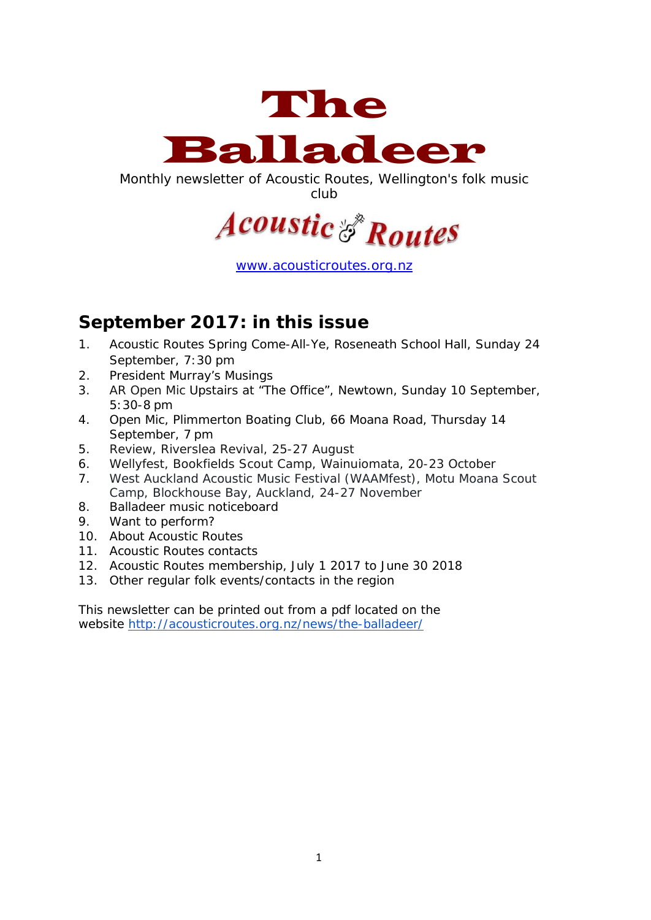

Monthly newsletter of Acoustic Routes, Wellington's folk music club



[www.acousticroutes.org.nz](http://www.acousticroutes.org.nz/)

### **September 2017: in this issue**

- 1. Acoustic Routes Spring Come-All-Ye, Roseneath School Hall, Sunday 24 September, 7:30 pm
- 2. President Murray's Musings
- 3. AR Open Mic Upstairs at "The Office", Newtown, Sunday 10 September, 5:30-8 pm
- 4. Open Mic, Plimmerton Boating Club, 66 Moana Road, Thursday 14 September, 7 pm
- 5. Review, Riverslea Revival, 25-27 August
- 6. Wellyfest, Bookfields Scout Camp, Wainuiomata, 20-23 October
- 7. West Auckland Acoustic Music Festival (WAAMfest), Motu Moana Scout Camp, Blockhouse Bay, Auckland, 24-27 November
- 8. Balladeer music noticeboard
- 9. Want to perform?
- 10. About Acoustic Routes
- 11. Acoustic Routes contacts
- 12. Acoustic Routes membership, July 1 2017 to June 30 2018
- 13. Other regular folk events/contacts in the region

This newsletter can be printed out from a pdf located on the website<http://acousticroutes.org.nz/news/the-balladeer/>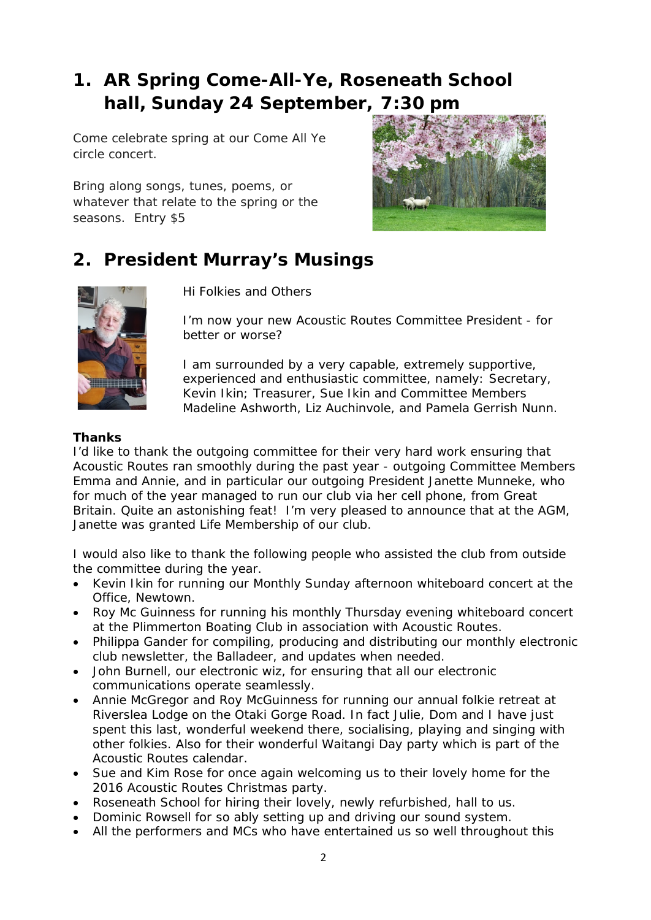# **1. AR Spring Come-All-Ye, Roseneath School hall, Sunday 24 September, 7:30 pm**

Come celebrate spring at our Come All Ye circle concert.

Bring along songs, tunes, poems, or whatever that relate to the spring or the seasons. Entry \$5



### **2. President Murray's Musings**



Hi Folkies and Others

I'm now your new Acoustic Routes Committee President - for better or worse?

I am surrounded by a very capable, extremely supportive, experienced and enthusiastic committee, namely: Secretary, Kevin Ikin; Treasurer, Sue Ikin and Committee Members Madeline Ashworth, Liz Auchinvole, and Pamela Gerrish Nunn.

#### **Thanks**

I'd like to thank the outgoing committee for their very hard work ensuring that Acoustic Routes ran smoothly during the past year - outgoing Committee Members Emma and Annie, and in particular our outgoing President Janette Munneke, who for much of the year managed to run our club via her cell phone, from Great Britain. Quite an astonishing feat! I'm very pleased to announce that at the AGM, Janette was granted Life Membership of our club.

I would also like to thank the following people who assisted the club from outside the committee during the year.

- Kevin Ikin for running our Monthly Sunday afternoon whiteboard concert at the Office, Newtown.
- Roy Mc Guinness for running his monthly Thursday evening whiteboard concert at the Plimmerton Boating Club in association with Acoustic Routes.
- Philippa Gander for compiling, producing and distributing our monthly electronic club newsletter, the Balladeer, and updates when needed.
- John Burnell, our electronic wiz, for ensuring that all our electronic communications operate seamlessly.
- Annie McGregor and Roy McGuinness for running our annual folkie retreat at Riverslea Lodge on the Otaki Gorge Road. In fact Julie, Dom and I have just spent this last, wonderful weekend there, socialising, playing and singing with other folkies. Also for their wonderful Waitangi Day party which is part of the Acoustic Routes calendar.
- Sue and Kim Rose for once again welcoming us to their lovely home for the 2016 Acoustic Routes Christmas party.
- Roseneath School for hiring their lovely, newly refurbished, hall to us.
- Dominic Rowsell for so ably setting up and driving our sound system.
- All the performers and MCs who have entertained us so well throughout this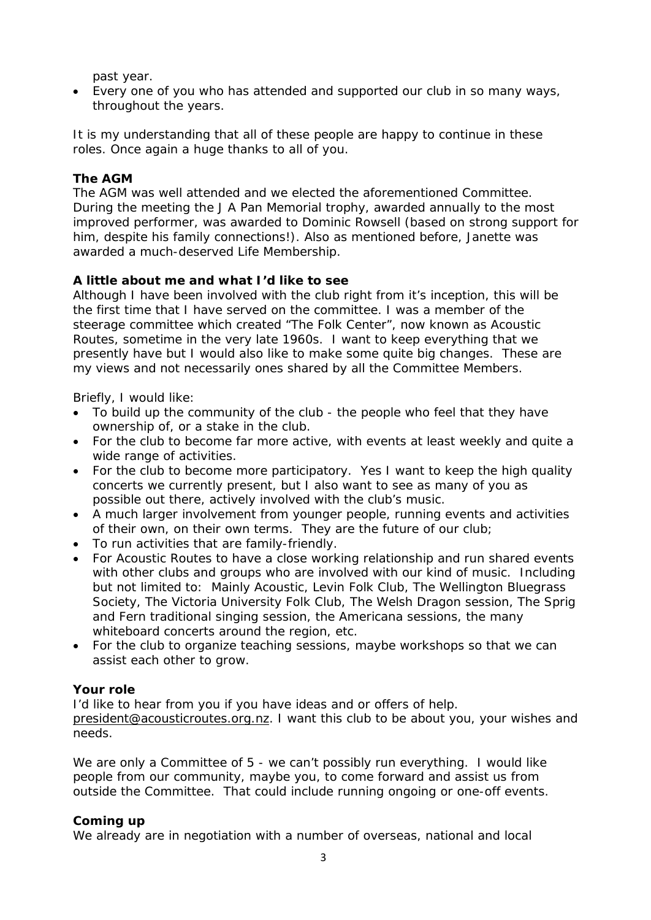past year.

• Every one of you who has attended and supported our club in so many ways, throughout the years.

It is my understanding that all of these people are happy to continue in these roles. Once again a huge thanks to all of you.

#### **The AGM**

The AGM was well attended and we elected the aforementioned Committee. During the meeting the J A Pan Memorial trophy, awarded annually to the most improved performer, was awarded to Dominic Rowsell (based on strong support for him, despite his family connections!). Also as mentioned before, Janette was awarded a much-deserved Life Membership.

#### **A little about me and what I'd like to see**

Although I have been involved with the club right from it's inception, this will be the first time that I have served on the committee. I was a member of the steerage committee which created "The Folk Center", now known as Acoustic Routes, sometime in the very late 1960s. I want to keep everything that we presently have but I would also like to make some quite big changes. These are my views and not necessarily ones shared by all the Committee Members.

Briefly, I would like:

- To build up the community of the club the people who feel that they have ownership of, or a stake in the club.
- For the club to become far more active, with events at least weekly and quite a wide range of activities.
- For the club to become more participatory. Yes I want to keep the high quality concerts we currently present, but I also want to see as many of you as possible out there, actively involved with the club's music.
- A much larger involvement from younger people, running events and activities of their own, on their own terms. They are the future of our club;
- To run activities that are family-friendly.
- For Acoustic Routes to have a close working relationship and run shared events with other clubs and groups who are involved with our kind of music. Including but not limited to: Mainly Acoustic, Levin Folk Club, The Wellington Bluegrass Society, The Victoria University Folk Club, The Welsh Dragon session, The Sprig and Fern traditional singing session, the Americana sessions, the many whiteboard concerts around the region, etc.
- For the club to organize teaching sessions, maybe workshops so that we can assist each other to grow.

#### **Your role**

I'd like to hear from you if you have ideas and or offers of help. [president@acousticroutes.org.nz.](mailto:president@acousticroutes.org.nz) I want this club to be about you, your wishes and needs.

We are only a Committee of 5 - we can't possibly run everything. I would like people from our community, maybe you, to come forward and assist us from outside the Committee. That could include running ongoing or one-off events.

#### **Coming up**

We already are in negotiation with a number of overseas, national and local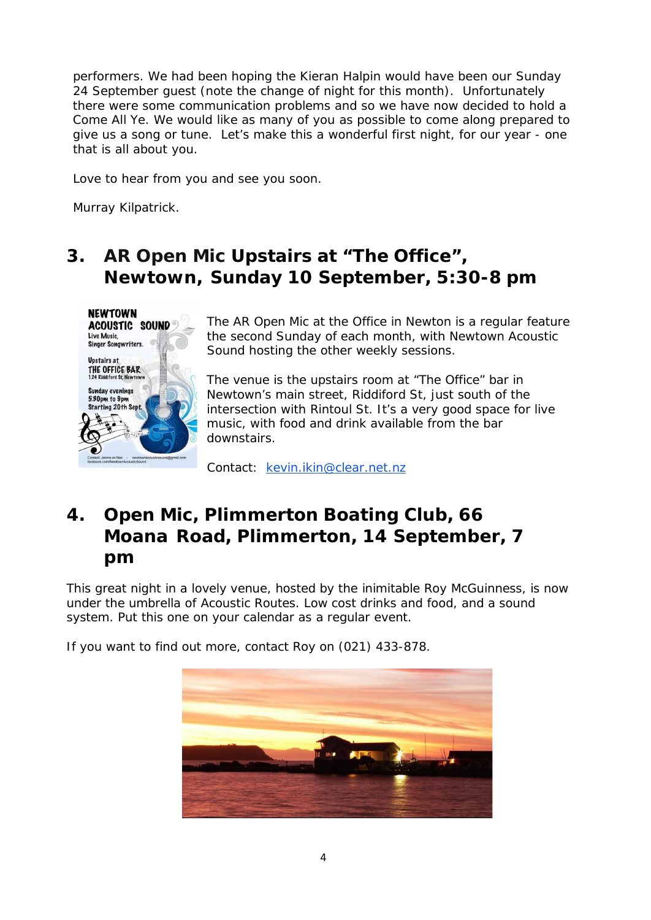performers. We had been hoping the Kieran Halpin would have been our Sunday 24 September guest (note the change of night for this month). Unfortunately there were some communication problems and so we have now decided to hold a Come All Ye. We would like as many of you as possible to come along prepared to give us a song or tune. Let's make this a wonderful first night, for our year - one that is all about you.

Love to hear from you and see you soon.

Murray Kilpatrick.

### **3. AR Open Mic Upstairs at "The Office", Newtown, Sunday 10 September, 5:30-8 pm**



The AR Open Mic at the Office in Newton is a regular feature the second Sunday of each month, with Newtown Acoustic Sound hosting the other weekly sessions.

The venue is the upstairs room at "The Office" bar in Newtown's main street, Riddiford St, just south of the intersection with Rintoul St. It's a very good space for live music, with food and drink available from the bar downstairs.

Contact: [kevin.ikin@clear.net.nz](mailto:kevin.ikin@clear.net.nz)

## **4. Open Mic, Plimmerton Boating Club, 66 Moana Road, Plimmerton, 14 September, 7 pm**

This great night in a lovely venue, hosted by the inimitable Roy McGuinness, is now under the umbrella of Acoustic Routes. Low cost drinks and food, and a sound system. Put this one on your calendar as a regular event.

If you want to find out more, contact Roy on (021) 433-878.

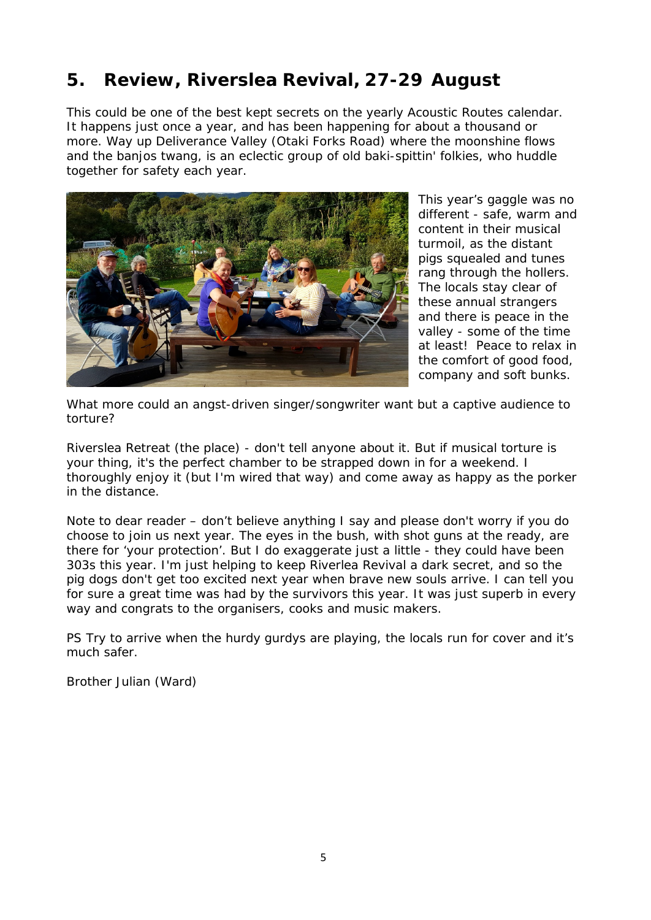# **5. Review, Riverslea Revival, 27-29 August**

This could be one of the best kept secrets on the yearly Acoustic Routes calendar. It happens just once a year, and has been happening for about a thousand or more. Way up Deliverance Valley (Otaki Forks Road) where the moonshine flows and the banjos twang, is an eclectic group of old baki-spittin' folkies, who huddle together for safety each year.



This year's gaggle was no different - safe, warm and content in their musical turmoil, as the distant pigs squealed and tunes rang through the hollers. The locals stay clear of these annual strangers and there is peace in the valley - some of the time at least! Peace to relax in the comfort of good food, company and soft bunks.

What more could an angst-driven singer/songwriter want but a captive audience to torture?

Riverslea Retreat (the place) - don't tell anyone about it. But if musical torture is your thing, it's the perfect chamber to be strapped down in for a weekend. I thoroughly enjoy it (but I'm wired that way) and come away as happy as the porker in the distance.

Note to dear reader – don't believe anything I say and please don't worry if you do choose to join us next year. The eyes in the bush, with shot guns at the ready, are there for 'your protection'. But I do exaggerate just a little - they could have been 303s this year. I'm just helping to keep Riverlea Revival a dark secret, and so the pig dogs don't get too excited next year when brave new souls arrive. I can tell you for sure a great time was had by the survivors this year. It was just superb in every way and congrats to the organisers, cooks and music makers.

PS Try to arrive when the hurdy gurdys are playing, the locals run for cover and it's much safer.

Brother Julian (Ward)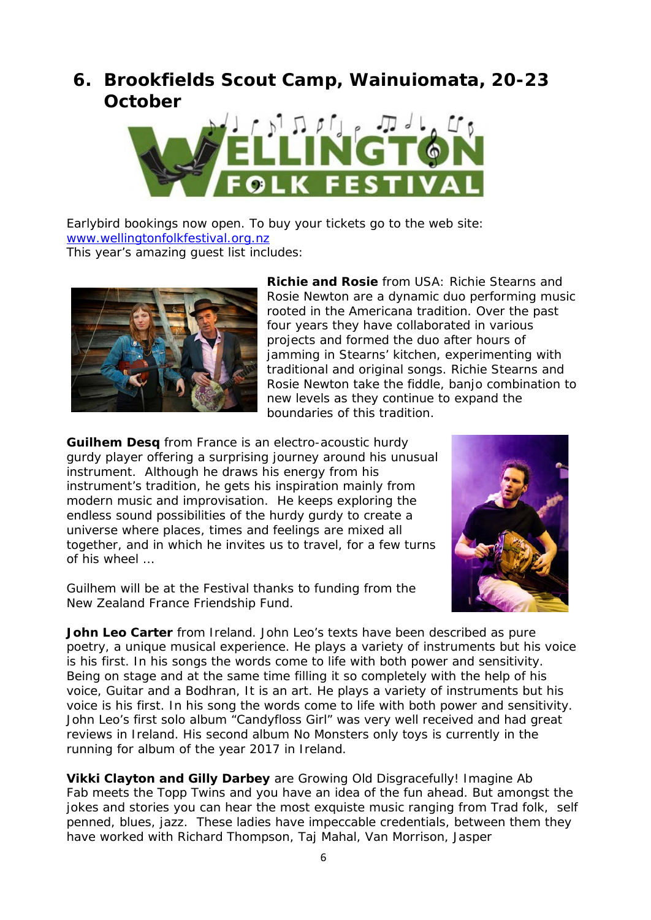### **6. Brookfields Scout Camp, Wainuiomata, 20-23 October**



Earlybird bookings now open. To buy your tickets go to the web site: [www.wellingtonfolkfestival.org.nz](http://www.wellingtonfolkfestival.org.nz/) This year's amazing guest list includes:



**Richie and Rosie** from USA: Richie Stearns and Rosie Newton are a dynamic duo performing music rooted in the Americana tradition. Over the past four years they have collaborated in various projects and formed the duo after hours of jamming in Stearns' kitchen, experimenting with traditional and original songs. Richie Stearns and Rosie Newton take the fiddle, banjo combination to new levels as they continue to expand the boundaries of this tradition.

**Guilhem Desq** from France is an electro-acoustic hurdy gurdy player offering a surprising journey around his unusual instrument. Although he draws his energy from his instrument's tradition, he gets his inspiration mainly from modern music and improvisation. He keeps exploring the endless sound possibilities of the hurdy gurdy to create a universe where places, times and feelings are mixed all together, and in which he invites us to travel, for a few turns of his wheel …

Guilhem will be at the Festival thanks to funding from the New Zealand France Friendship Fund.



**John Leo Carter** from Ireland. John Leo's texts have been described as pure poetry, a unique musical experience. He plays a variety of instruments but his voice is his first. In his songs the words come to life with both power and sensitivity. Being on stage and at the same time filling it so completely with the help of his voice, Guitar and a Bodhran, It is an art. He plays a variety of instruments but his voice is his first. In his song the words come to life with both power and sensitivity. John Leo's first solo album "Candyfloss Girl" was very well received and had great reviews in Ireland. His second album No Monsters only toys is currently in the running for album of the year 2017 in Ireland.

**Vikki Clayton and Gilly Darbey** are Growing Old Disgracefully! Imagine Ab Fab meets the Topp Twins and you have an idea of the fun ahead. But amongst the jokes and stories you can hear the most exquiste music ranging from Trad folk, self penned, blues, jazz. These ladies have impeccable credentials, between them they have worked with Richard Thompson, Taj Mahal, Van Morrison, Jasper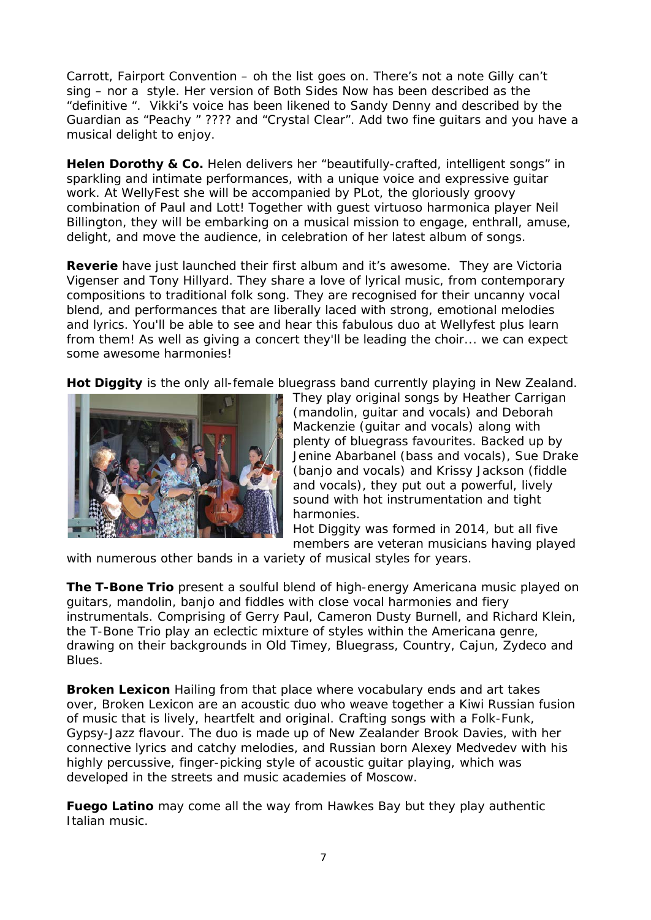Carrott, Fairport Convention – oh the list goes on. There's not a note Gilly can't sing – nor a style. Her version of Both Sides Now has been described as the "definitive ". Vikki's voice has been likened to Sandy Denny and described by the Guardian as "Peachy " ???? and "Crystal Clear". Add two fine guitars and you have a musical delight to enjoy.

**Helen Dorothy & Co.** Helen delivers her "beautifully-crafted, intelligent songs" in sparkling and intimate performances, with a unique voice and expressive guitar work. At WellyFest she will be accompanied by PLot, the gloriously groovy combination of Paul and Lott! Together with guest virtuoso harmonica player Neil Billington, they will be embarking on a musical mission to engage, enthrall, amuse, delight, and move the audience, in celebration of her latest album of songs.

**Reverie** have just launched their first album and it's awesome. They are Victoria Vigenser and Tony Hillyard. They share a love of lyrical music, from contemporary compositions to traditional folk song. They are recognised for their uncanny vocal blend, and performances that are liberally laced with strong, emotional melodies and lyrics. You'll be able to see and hear this fabulous duo at Wellyfest plus learn from them! As well as giving a concert they'll be leading the choir... we can expect some awesome harmonies!

**Hot Diggity** is the only all-female bluegrass band currently playing in New Zealand.



They play original songs by Heather Carrigan (mandolin, guitar and vocals) and Deborah Mackenzie (guitar and vocals) along with plenty of bluegrass favourites. Backed up by Jenine Abarbanel (bass and vocals), Sue Drake (banjo and vocals) and Krissy Jackson (fiddle and vocals), they put out a powerful, lively sound with hot instrumentation and tight harmonies.

Hot Diggity was formed in 2014, but all five members are veteran musicians having played

with numerous other bands in a variety of musical styles for years.

**The T-Bone Trio** present a soulful blend of high-energy Americana music played on guitars, mandolin, banjo and fiddles with close vocal harmonies and fiery instrumentals. Comprising of Gerry Paul, Cameron Dusty Burnell, and Richard Klein, the T-Bone Trio play an eclectic mixture of styles within the Americana genre, drawing on their backgrounds in Old Timey, Bluegrass, Country, Cajun, Zydeco and Blues.

**Broken Lexicon** Hailing from that place where vocabulary ends and art takes over, Broken Lexicon are an acoustic duo who weave together a Kiwi Russian fusion of music that is lively, heartfelt and original. Crafting songs with a Folk-Funk, Gypsy-Jazz flavour. The duo is made up of New Zealander Brook Davies, with her connective lyrics and catchy melodies, and Russian born Alexey Medvedev with his highly percussive, finger-picking style of acoustic guitar playing, which was developed in the streets and music academies of Moscow.

**Fuego Latino** may come all the way from Hawkes Bay but they play authentic Italian music.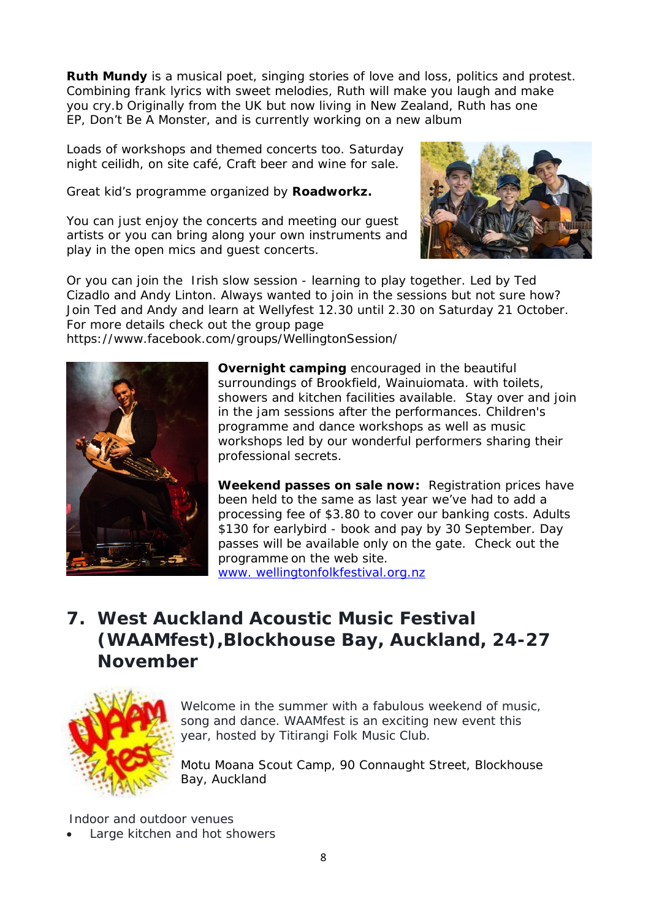**Ruth Mundy** is a musical poet, singing stories of love and loss, politics and protest. Combining frank lyrics with sweet melodies, Ruth will make you laugh and make you cry.b Originally from the UK but now living in New Zealand, Ruth has one EP, Don't Be A Monster, and is currently working on a new album

Loads of workshops and themed concerts too. Saturday night ceilidh, on site café, Craft beer and wine for sale.

Great kid's programme organized by **Roadworkz.**

You can just enjoy the concerts and meeting our guest artists or you can bring along your own instruments and play in the open mics and guest concerts.



Or you can join the Irish slow session - learning to play together. Led by Ted Cizadlo and Andy Linton. Always wanted to join in the sessions but not sure how? Join Ted and Andy and learn at Wellyfest 12.30 until 2.30 on Saturday 21 October. For more details check out the group page [https://www.facebook.com/groups/WellingtonSession/](https://www.facebook.com/groups/WellingtonSession/?fref=mentions)



**Overnight camping** encouraged in the beautiful surroundings of Brookfield, Wainuiomata. with toilets, showers and kitchen facilities available. Stay over and join in the jam sessions after the performances. Children's programme and dance workshops as well as music workshops led by our wonderful performers sharing their professional secrets.

**Weekend passes on sale now:** Registration prices have been held to the same as last year we've had to add a processing fee of \$3.80 to cover our banking costs. Adults \$130 for earlybird - book and pay by 30 September. Day passes will be available only on the gate. Check out the programme on the web site. www. [wellingtonfolkfestival.org.nz](http://www.wellingtonfolkfestival.org.nz/)

**7. West Auckland Acoustic Music Festival (WAAMfest),Blockhouse Bay, Auckland, 24-27 November**



Welcome in the summer with a fabulous weekend of music, song and dance. WAAMfest is an exciting new event this year, hosted by Titirangi Folk Music Club.

Motu Moana Scout Camp, 90 Connaught Street, Blockhouse Bay, Auckland

Indoor and outdoor venues

Large kitchen and hot showers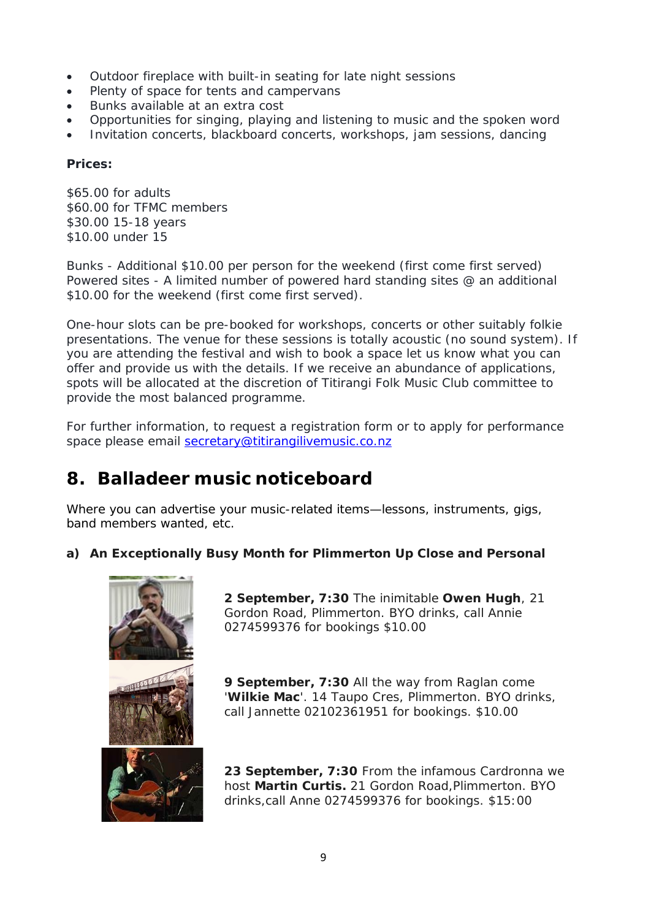- Outdoor fireplace with built-in seating for late night sessions
- Plenty of space for tents and campervans
- Bunks available at an extra cost
- Opportunities for singing, playing and listening to music and the spoken word
- Invitation concerts, blackboard concerts, workshops, jam sessions, dancing

#### **Prices:**

\$65.00 for adults \$60.00 for TFMC members \$30.00 15-18 years \$10.00 under 15

Bunks - Additional \$10.00 per person for the weekend (first come first served) Powered sites - A limited number of powered hard standing sites @ an additional \$10.00 for the weekend (first come first served).

One-hour slots can be pre-booked for workshops, concerts or other suitably folkie presentations. The venue for these sessions is totally acoustic (no sound system). If you are attending the festival and wish to book a space let us know what you can offer and provide us with the details. If we receive an abundance of applications, spots will be allocated at the discretion of Titirangi Folk Music Club committee to provide the most balanced programme.

For further information, to request a registration form or to apply for performance space please email [secretary@titirangilivemusic.co.nz](mailto:secretary@titirangilivemusic.co.nz)

## **8. Balladeer music noticeboard**

Where you can advertise your music-related items—lessons, instruments, gigs, band members wanted, etc.

### **a) An Exceptionally Busy Month for Plimmerton Up Close and Personal**



**2 September, 7:30** The inimitable **Owen Hugh**, 21 Gordon Road, Plimmerton. BYO drinks, call Annie 0274599376 for bookings \$10.00

**9 September, 7:30** All the way from Raglan come '**Wilkie Mac**'. 14 Taupo Cres, Plimmerton. BYO drinks, call Jannette 02102361951 for bookings. \$10.00

**23 September, 7:30** From the infamous Cardronna we host **Martin Curtis.** 21 Gordon Road,Plimmerton. BYO drinks,call Anne 0274599376 for bookings. \$15:00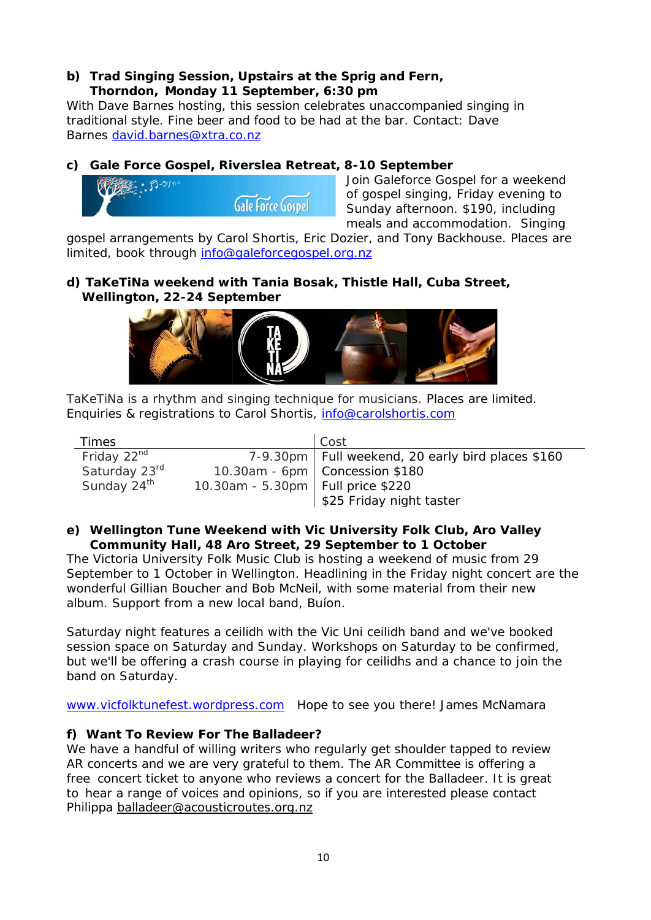#### **b) Trad Singing Session, Upstairs at the Sprig and Fern, Thorndon, Monday 11 September, 6:30 pm**

With Dave Barnes hosting, this session celebrates unaccompanied singing in traditional style. Fine beer and food to be had at the bar. Contact: Dave Barnes [david.barnes@xtra.co.nz](mailto:david.barnes@xtra.co.nz)

### **c) Gale Force Gospel, Riverslea Retreat, 8-10 September**



Join Galeforce Gospel for a weekend of gospel singing, Friday evening to Sunday afternoon. \$190, including meals and accommodation. Singing

gospel arrangements by Carol Shortis, Eric Dozier, and Tony Backhouse. Places are limited, book through [info@galeforcegospel.org.nz](mailto:info@galeforcegospel.org.nz)

#### **d) TaKeTiNa weekend with Tania Bosak, Thistle Hall, Cuba Street, Wellington, 22-24 September**



TaKeTiNa is a rhythm and singing technique for musicians. Places are limited. Enquiries & registrations to Carol Shortis, [info@carolshortis.com](mailto:info@carolshortis.com)

| 7-9.30pm   Full weekend, 20 early bird places \$160 |
|-----------------------------------------------------|
| 10.30am - 6pm   Concession \$180                    |
| 10.30am - 5.30pm   Full price \$220                 |
| \$25 Friday night taster                            |
|                                                     |

#### **e) Wellington Tune Weekend with Vic University Folk Club, Aro Valley Community Hall, 48 Aro Street, 29 September to 1 October**

The Victoria University Folk Music Club is hosting a weekend of music from 29 September to 1 October in Wellington. Headlining in the Friday night concert are the wonderful Gillian Boucher and Bob McNeil, with some material from their new album. Support from a new local band, Buíon.

Saturday night features a ceilidh with the Vic Uni ceilidh band and we've booked session space on Saturday and Sunday. Workshops on Saturday to be confirmed, but we'll be offering a crash course in playing for ceilidhs and a chance to join the band on Saturday.

[www.vicfolktunefest.wordpress.com](https://owa.massey.ac.nz/owa/redir.aspx?C=l6lLGppzDFxPX8oC0y0BDqG-_KDl0JWf2dYsdZNRF2oqkWMjHvHUCA..&URL=http%3a%2f%2fwww.vicfolktunefest.wordpress.com)  Hope to see you there! James McNamara

#### **f) Want To Review For The Balladeer?**

We have a handful of willing writers who regularly get shoulder tapped to review AR concerts and we are very grateful to them. The AR Committee is offering a free concert ticket to anyone who reviews a concert for the Balladeer. It is great to hear a range of voices and opinions, so if you are interested please contact Philippa [balladeer@acousticroutes.org.nz](mailto:balladeer@acousticroutes.org.nz)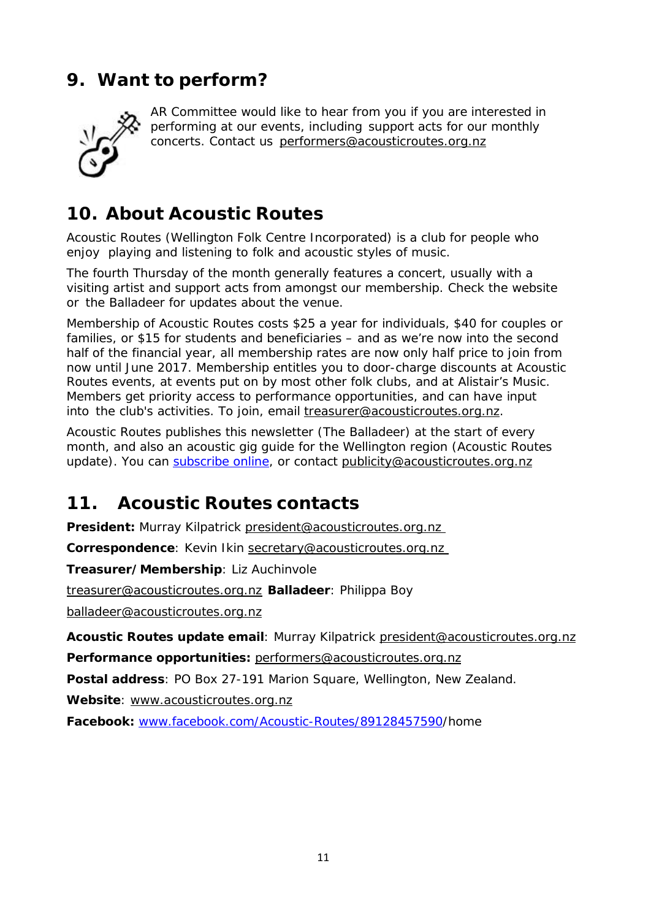# **9. Want to perform?**



AR Committee would like to hear from you if you are interested in performing at our events, including support acts for our monthly concerts. Contact us [performers@acousticroutes.org.nz](mailto:performers@acousticroutes.org.nz)

# **10. About Acoustic Routes**

Acoustic Routes (Wellington Folk Centre Incorporated) is a club for people who enjoy playing and listening to folk and acoustic styles of music.

The fourth Thursday of the month generally features a concert, usually with a visiting artist and support acts from amongst our membership. Check the website or the Balladeer for updates about the venue.

Membership of Acoustic Routes costs \$25 a year for individuals, \$40 for couples or families, or \$15 for students and beneficiaries – and as we're now into the second half of the financial year, all membership rates are now only half price to join from now until June 2017. Membership entitles you to door-charge discounts at Acoustic Routes events, at events put on by most other folk clubs, and at Alistair's Music. Members get priority access to performance opportunities, and can have input into the club's activities. To join, email [treasurer@acousticroutes.org.nz.](mailto:treasurer@acousticroutes.org.nz)

Acoustic Routes publishes this newsletter (The Balladeer) at the start of every month, and also an acoustic gig guide for the Wellington region (Acoustic Routes update). You can [subscribe](http://eepurl.com/mP90b) online, or contact [publicity@acousticroutes.org.nz](mailto:publicity@acousticroutes.org.nz)

## **11. Acoustic Routes contacts**

**President:** Murray Kilpatrick [president@acousticroutes.org.nz](mailto:president@acousticroutes.org.nz)

**Correspondence**: Kevin Ikin [secretary@acousticroutes.org.nz](mailto:secretary@acousticroutes.org.nz)

**Treasurer/Membership**: Liz Auchinvole

[treasurer@acousticroutes.org.nz](mailto:treasurer@acousticroutes.org.nz) **Balladeer**: Philippa Boy

[balladeer@acousticroutes.org.nz](mailto:balladeer@acousticroutes.org.nz)

**Acoustic Routes update email**: Murray Kilpatrick [president@acousticroutes.org.nz](mailto:president@acousticroutes.org.nz)

**Performance opportunities:** [performers@acousticroutes.org.nz](mailto:performers@acousticroutes.org.nz)

**Postal address**: PO Box 27-191 Marion Square, Wellington, New Zealand.

**Website**: [www.acousticroutes.org.nz](http://www.acousticroutes.org.nz/)

**Facebook:** [www.facebook.com/Acoustic-Routes/89128457590/](http://www.facebook.com/Acoustic-Routes/89128457590)home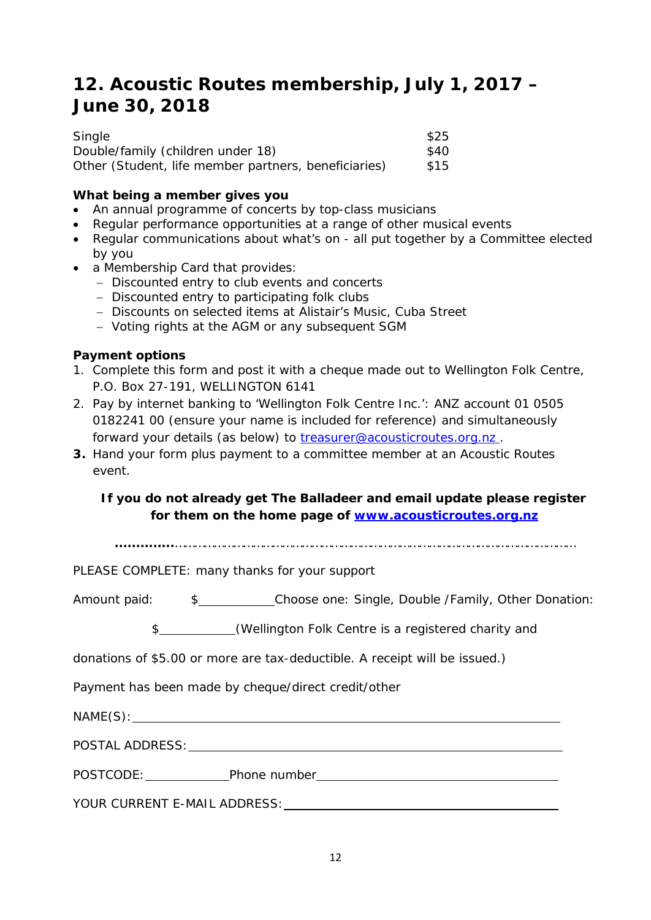### **12. Acoustic Routes membership, July 1, 2017 – June 30, 2018**

| Single                                               | \$25 |
|------------------------------------------------------|------|
| Double/family (children under 18)                    | \$40 |
| Other (Student, life member partners, beneficiaries) | \$15 |

#### **What being a member gives you**

- An annual programme of concerts by top-class musicians
- Regular performance opportunities at a range of other musical events
- Regular communications about what's on all put together by a Committee elected by you
- a Membership Card that provides:
	- − Discounted entry to club events and concerts
	- − Discounted entry to participating folk clubs
	- − Discounts on selected items at Alistair's Music, Cuba Street
	- − Voting rights at the AGM or any subsequent SGM

#### **Payment options**

- 1. Complete this form and post it with a cheque made out to Wellington Folk Centre, P.O. Box 27-191, WELLINGTON 6141
- 2. Pay by internet banking to 'Wellington Folk Centre Inc.': ANZ account 01 0505 0182241 00 (*ensure your name is included for refer*ence) and simultaneously forward your details (as below) to [treasurer@acousticroutes.org.nz .](mailto:treasurer@acousticroutes.org.nz)
- **3.** Hand your form plus payment to a committee member at an Acoustic Routes event.

### **If you do not already get The Balladeer and email update please register for them on the home page of [www.acousticroutes.org.nz](http://www.acousticroutes.org.nz/)**

**..............**……………………………………………………………………………………………………………

PLEASE COMPLETE: many thanks for your support

Amount paid:  $\frac{1}{2}$  \$\_\_\_\_\_\_\_\_\_\_\_\_\_\_Choose one: Single, Double /Family, Other Donation:

\$\_\_\_\_\_\_\_\_\_\_(Wellington Folk Centre is a registered charity and

donations of \$5.00 or more are tax-deductible. A receipt will be issued.)

Payment has been made by cheque/direct credit/other

NAME(S): The state of the state of the state of the state of the state of the state of the state of the state of the state of the state of the state of the state of the state of the state of the state of the state of the s

POSTAL ADDRESS:

POSTCODE: Phone number Phone number POSTCODE:

YOUR CURRENT E-MAIL ADDRESS: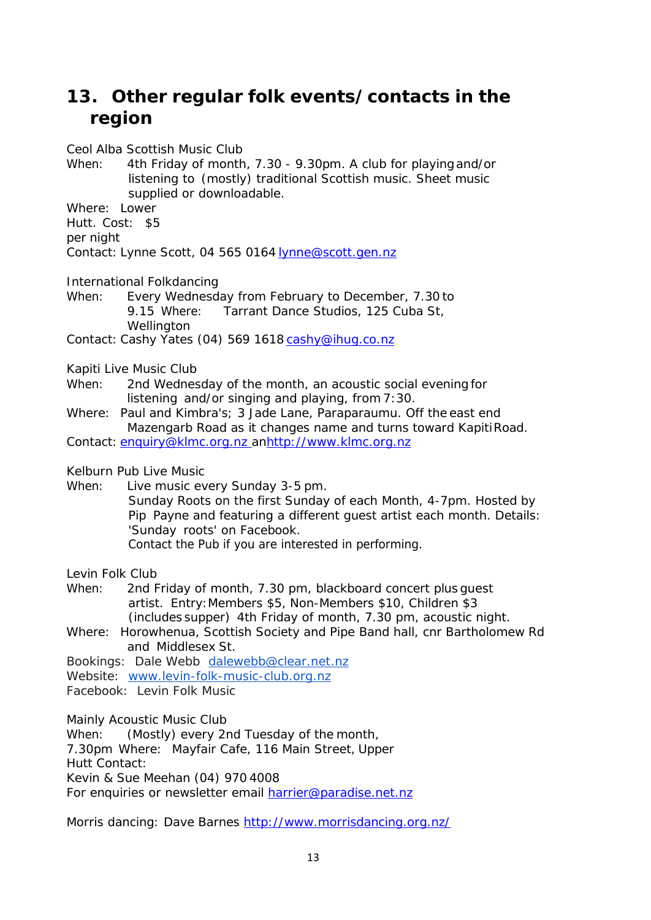### **13. Other regular folk events/contacts in the region**

Ceol Alba Scottish Music Club

When: 4th Friday of month, 7.30 - 9.30pm. A club for playingand/or listening to (mostly) traditional Scottish music. Sheet music supplied or downloadable.

Where: Lower

Hutt. Cost: \$5

per night

Contact: Lynne Scott, 04 565 0164 [lynne@scott.gen.nz](mailto:lynne@scott.gen.nz)

International Folkdancing<br>When: Every Wednesd

Every Wednesday from February to December, 7.30 to 9.15 Where: Tarrant Dance Studios, 125 Cuba St, Wellington

Contact: Cashy Yates (04) 569 1618 [cashy@ihug.co.nz](mailto:cashy@ihug.co.nz)

Kapiti Live Music Club

When: 2nd Wednesday of the month, an acoustic social evening for listening and/or singing and playing, from 7:30.

Where: Paul and Kimbra's; 3 Jade Lane, Paraparaumu. Off the east end Mazengarb Road as it changes name and turns toward KapitiRoad.

Contact: [enquiry@klmc.org.nz](mailto:enquiry@klmc.org.nz) a[nhttp://www.klmc.org.nz](http://www.klmc.org.nz/)

Kelburn Pub Live Music

When: Live music every Sunday 3-5 pm.

Sunday Roots on the first Sunday of each Month, 4-7pm. Hosted by Pip Payne and featuring a different guest artist each month. Details: 'Sunday roots' on Facebook.

Contact the Pub if you are interested in performing.

Levin Folk Club<br>When: 2nd F

- 2nd Friday of month, 7.30 pm, blackboard concert plus quest artist. Entry:Members \$5, Non-Members \$10, Children \$3 (includes supper) 4th Friday of month, 7.30 pm, acoustic night.
- Where: Horowhenua, Scottish Society and Pipe Band hall, cnr Bartholomew Rd and Middlesex St.
- Bookings: Dale Webb [dalewebb@clear.net.nz](mailto:dalewebb@clear.net.nz)
- Website: [www.levin-folk-music-club.org.nz](http://www.levin-folk-music-club.org.nz/)

Facebook: Levin Folk Music

Mainly Acoustic Music Club

When: (Mostly) every 2nd Tuesday of the month, 7.30pm Where: Mayfair Cafe, 116 Main Street, Upper Hutt Contact: Kevin & Sue Meehan (04) 970 4008 For enquiries or newsletter email [harrier@paradise.net.nz](mailto:harrier@paradise.net.nz)

Morris dancing: Dave Barnes<http://www.morrisdancing.org.nz/>